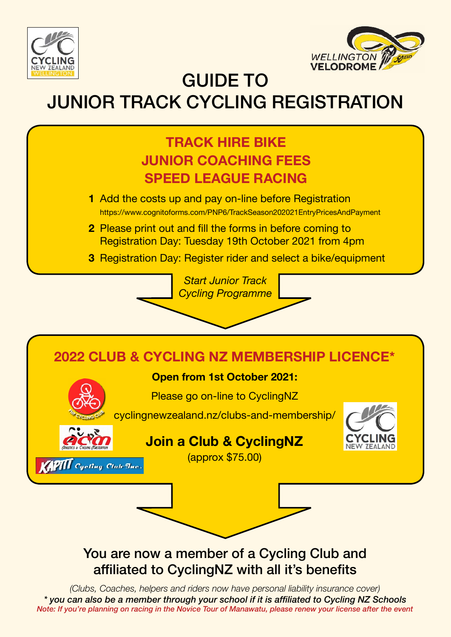



GUIDE TO

## JUNIOR TRACK CYCLING REGISTRATION



- **1** Add the costs up and pay on-line before Registration https://www.cognitoforms.com/PNP6/TrackSeason202021EntryPricesAndPayment
- **2** Please print out and fill the forms in before coming to Registration Day: Tuesday 19th October 2021 from 4pm

*Start Junior Track Cycling Programme*

**3** Registration Day: Register rider and select a bike/equipment



### You are now a member of a Cycling Club and affiliated to CyclingNZ with all it's benefits

*(Clubs, Coaches, helpers and riders now have personal liability insurance cover) \* you can also be a member through your school if it is affiliated to Cycling NZ Schools Note: If you're planning on racing in the Novice Tour of Manawatu, please renew your license after the event*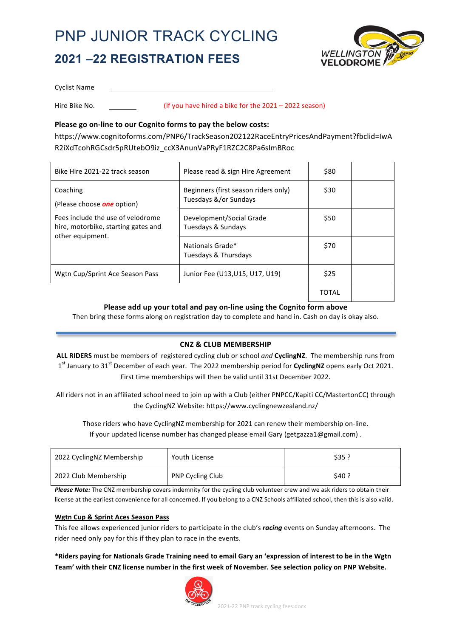## PNP JUNIOR TRACK CYCLING **2021 –22 REGISTRATION FEES**



Cyclist Name

Hire Bike No. **Example 2021** – 2022 season)

#### Please go on-line to our Cognito forms to pay the below costs:

https://www.cognitoforms.com/PNP6/TrackSeason202122RaceEntryPricesAndPayment?fbclid=IwA R2iXdTcohRGCsdr5pRUtebO9iz\_ccX3AnunVaPRyF1RZC2C8Pa6sImBRoc

| Bike Hire 2021-22 track season                                                               | Please read & sign Hire Agreement                             | \$80  |  |
|----------------------------------------------------------------------------------------------|---------------------------------------------------------------|-------|--|
| Coaching<br>(Please choose <b>one</b> option)                                                | Beginners (first season riders only)<br>Tuesdays &/or Sundays | \$30  |  |
| Fees include the use of velodrome<br>hire, motorbike, starting gates and<br>other equipment. | Development/Social Grade<br>Tuesdays & Sundays                | \$50  |  |
|                                                                                              | Nationals Grade*<br>Tuesdays & Thursdays                      | \$70  |  |
| Wgtn Cup/Sprint Ace Season Pass                                                              | Junior Fee (U13, U15, U17, U19)                               | \$25  |  |
|                                                                                              |                                                               | TOTAL |  |

Please add up your total and pay on-line using the Cognito form above

Then bring these forms along on registration day to complete and hand in. Cash on day is okay also.

#### **CNZ & CLUB MEMBERSHIP**

ALL RIDERS must be members of registered cycling club or school *and* CyclingNZ. The membership runs from 1<sup>st</sup> January to 31<sup>st</sup> December of each year. The 2022 membership period for **CyclingNZ** opens early Oct 2021. First time memberships will then be valid until 31st December 2022.

All riders not in an affiliated school need to join up with a Club (either PNPCC/Kapiti CC/MastertonCC) through the CyclingNZ Website: https://www.cyclingnewzealand.nz/

Those riders who have CyclingNZ membership for 2021 can renew their membership on-line. If your updated license number has changed please email Gary (getgazza1@gmail.com).

| 2022 CyclingNZ Membership | Youth License    | \$35 ? |
|---------------------------|------------------|--------|
| 2022 Club Membership      | PNP Cycling Club | \$40 ? |

*Please Note:* The CNZ membership covers indemnity for the cycling club volunteer crew and we ask riders to obtain their license at the earliest convenience for all concerned. If you belong to a CNZ Schools affiliated school, then this is also valid.

#### **Wgtn Cup & Sprint Aces Season Pass**

This fee allows experienced junior riders to participate in the club's *racing* events on Sunday afternoons. The rider need only pay for this if they plan to race in the events.

\*Riders paying for Nationals Grade Training need to email Gary an 'expression of interest to be in the Wgtn Team' with their CNZ license number in the first week of November. See selection policy on PNP Website.

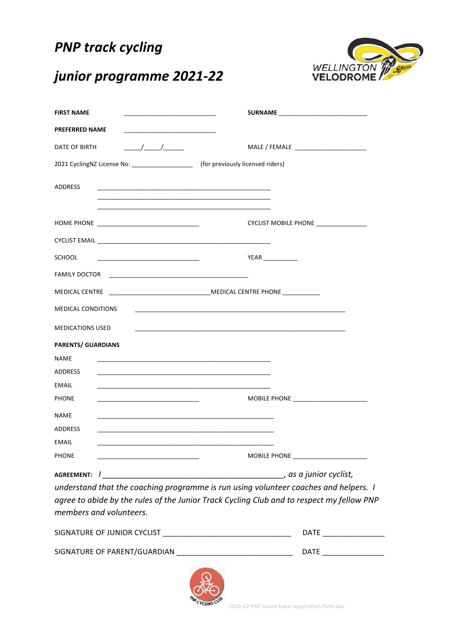### **PNP** track cycling



### *junior programme 2021-22*

| <b>FIRST NAME</b>                                                                                                                                                                                                                               | the control of the control of the control of the control of the control of                                                                                                                                                    |  |
|-------------------------------------------------------------------------------------------------------------------------------------------------------------------------------------------------------------------------------------------------|-------------------------------------------------------------------------------------------------------------------------------------------------------------------------------------------------------------------------------|--|
| <b>PREFERRED NAME</b>                                                                                                                                                                                                                           |                                                                                                                                                                                                                               |  |
| DATE OF BIRTH                                                                                                                                                                                                                                   |                                                                                                                                                                                                                               |  |
| 2021 CyclingNZ License No: ____________________ (for previously licensed riders)                                                                                                                                                                |                                                                                                                                                                                                                               |  |
| <b>ADDRESS</b>                                                                                                                                                                                                                                  |                                                                                                                                                                                                                               |  |
|                                                                                                                                                                                                                                                 |                                                                                                                                                                                                                               |  |
|                                                                                                                                                                                                                                                 | CYCLIST MOBILE PHONE ________________                                                                                                                                                                                         |  |
|                                                                                                                                                                                                                                                 |                                                                                                                                                                                                                               |  |
| <b>SCHOOL</b>                                                                                                                                                                                                                                   | <b>YEAR</b>                                                                                                                                                                                                                   |  |
|                                                                                                                                                                                                                                                 |                                                                                                                                                                                                                               |  |
|                                                                                                                                                                                                                                                 |                                                                                                                                                                                                                               |  |
| <b>MEDICAL CONDITIONS</b>                                                                                                                                                                                                                       | the control of the control of the control of the control of the control of the control of the control of the control of the control of the control of the control of the control of the control of the control of the control |  |
| <b>MEDICATIONS USED</b>                                                                                                                                                                                                                         | the contract of the contract of the contract of the contract of the contract of the contract of the contract of                                                                                                               |  |
| <b>PARENTS/ GUARDIANS</b>                                                                                                                                                                                                                       |                                                                                                                                                                                                                               |  |
| <b>NAME</b>                                                                                                                                                                                                                                     | the contract of the contract of the contract of the contract of the contract of the contract of the                                                                                                                           |  |
| ADDRESS                                                                                                                                                                                                                                         |                                                                                                                                                                                                                               |  |
| <b>EMAIL</b><br>the control of the control of the control of the control of the control of the control of the control of the control of the control of the control of the control of the control of the control of the control of the control   |                                                                                                                                                                                                                               |  |
| <b>PHONE</b>                                                                                                                                                                                                                                    |                                                                                                                                                                                                                               |  |
| <b>NAME</b>                                                                                                                                                                                                                                     | the control of the control of the control of the control of the control of the control of the control of the control of the control of the control of the control of the control of the control of the control of the control |  |
| <b>ADDRESS</b><br>the control of the control of the control of the control of the control of the control of the control of the control of the control of the control of the control of the control of the control of the control of the control |                                                                                                                                                                                                                               |  |
| <b>EMAIL</b>                                                                                                                                                                                                                                    |                                                                                                                                                                                                                               |  |
| <b>PHONE</b>                                                                                                                                                                                                                                    |                                                                                                                                                                                                                               |  |
| AGREEMENT: /                                                                                                                                                                                                                                    | , as a junior cyclist,                                                                                                                                                                                                        |  |

*understand that the coaching programme is run using volunteer coaches and helpers. I* agree to abide by the rules of the Junior Track Cycling Club and to respect my fellow PNP *members and volunteers.*

| SIGNATURE OF JUNIOR CYCLIST  | DATF |
|------------------------------|------|
| SIGNATURE OF PARENT/GUARDIAN | DATF |
|                              |      |

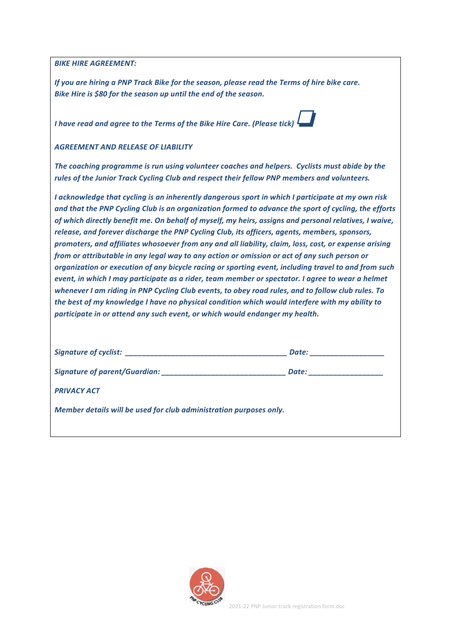**BIKE HIRE AGREEMENT:** 

*If* you are hiring a PNP Track Bike for the season, please read the Terms of hire bike care. Bike Hire is \$80 for the season up until the end of the season.

*I* have read and agree to the Terms of the Bike Hire Care. (Please tick) <sup>l</sup>

*AGREEMENT AND RELEASE OF LIABILITY*

The coaching programme is run using volunteer coaches and helpers. Cyclists must abide by the rules of the Junior Track Cycling Club and respect their fellow PNP members and volunteers.

*I* acknowledge that cycling is an inherently dangerous sport in which I participate at my own risk and that the PNP Cycling Club is an organization formed to advance the sport of cycling, the efforts of which directly benefit me. On behalf of myself, my heirs, assigns and personal relatives, I waive, release, and forever discharge the PNP Cycling Club, its officers, agents, members, sponsors, *promoters, and affiliates whosoever from any and all liability, claim, loss, cost, or expense arising from* or attributable in any legal way to any action or omission or act of any such person or organization or execution of any bicycle racing or sporting event, including travel to and from such *event, in which I may participate as a rider, team member or spectator. I agree to wear a helmet* whenever I am riding in PNP Cycling Club events, to obey road rules, and to follow club rules. To *the best of my knowledge I have no physical condition which would interfere with my ability to* participate in or attend any such event, or which would endanger my health.

|                                                                    | Date: |  |  |
|--------------------------------------------------------------------|-------|--|--|
|                                                                    | Date: |  |  |
| <b>PRIVACY ACT</b>                                                 |       |  |  |
| Member details will be used for club administration purposes only. |       |  |  |